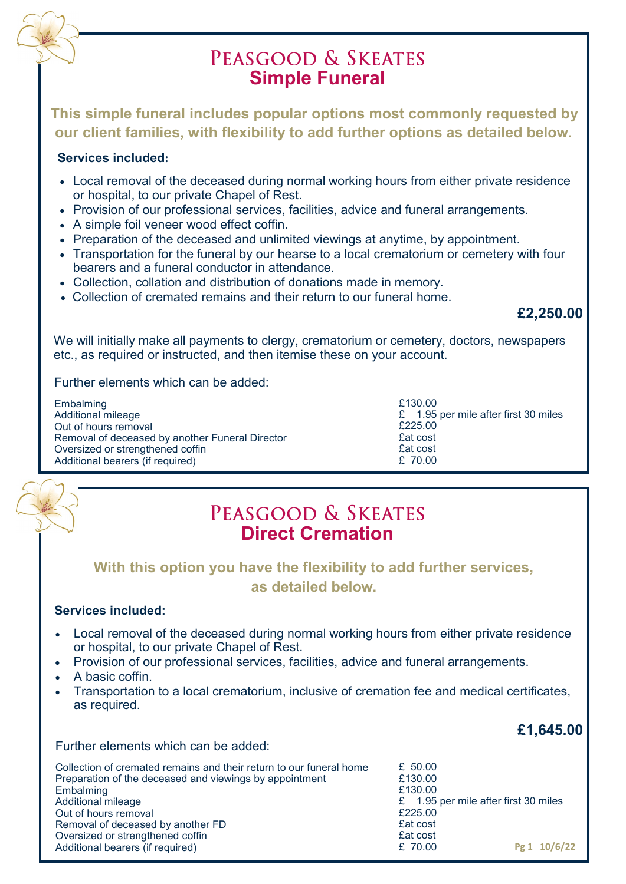

**This simple funeral includes popular options most commonly requested by our client families, with flexibility to add further options as detailed below.**

#### **Services included:**

- Local removal of the deceased during normal working hours from either private residence or hospital, to our private Chapel of Rest.
- Provision of our professional services, facilities, advice and funeral arrangements.
- A simple foil veneer wood effect coffin.
- Preparation of the deceased and unlimited viewings at anytime, by appointment.
- Transportation for the funeral by our hearse to a local crematorium or cemetery with four bearers and a funeral conductor in attendance.
- Collection, collation and distribution of donations made in memory.
- Collection of cremated remains and their return to our funeral home.

### **£2,250.00**

We will initially make all payments to clergy, crematorium or cemetery, doctors, newspapers etc., as required or instructed, and then itemise these on your account.

Further elements which can be added:

| Embalming                                       | £130.00                              |
|-------------------------------------------------|--------------------------------------|
| Additional mileage                              | £ 1.95 per mile after first 30 miles |
| Out of hours removal                            | £225.00                              |
| Removal of deceased by another Funeral Director | <b>£at</b> cost                      |
| Oversized or strengthened coffin                | <b>£at cost</b>                      |
| Additional bearers (if required)                | £ 70.00                              |

## PEASGOOD & SKEATES **Direct Cremation**

### **With this option you have the flexibility to add further services, as detailed below.**

#### **Services included:**

- Local removal of the deceased during normal working hours from either private residence or hospital, to our private Chapel of Rest.
- Provision of our professional services, facilities, advice and funeral arrangements.
- A basic coffin.
- Transportation to a local crematorium, inclusive of cremation fee and medical certificates, as required.

### **£1,645.00**

Further elements which can be added:

| Collection of cremated remains and their return to our funeral home | £ $50.00$                            |
|---------------------------------------------------------------------|--------------------------------------|
| Preparation of the deceased and viewings by appointment             | £130.00                              |
| Embalming                                                           | £130.00                              |
| Additional mileage                                                  | £ 1.95 per mile after first 30 miles |
| Out of hours removal                                                | £225.00                              |
| Removal of deceased by another FD                                   | £at cost                             |
| Oversized or strengthened coffin                                    | £at cost                             |
| Additional bearers (if required)                                    | Pg 1 10/6/22<br>£ 70.00              |
|                                                                     |                                      |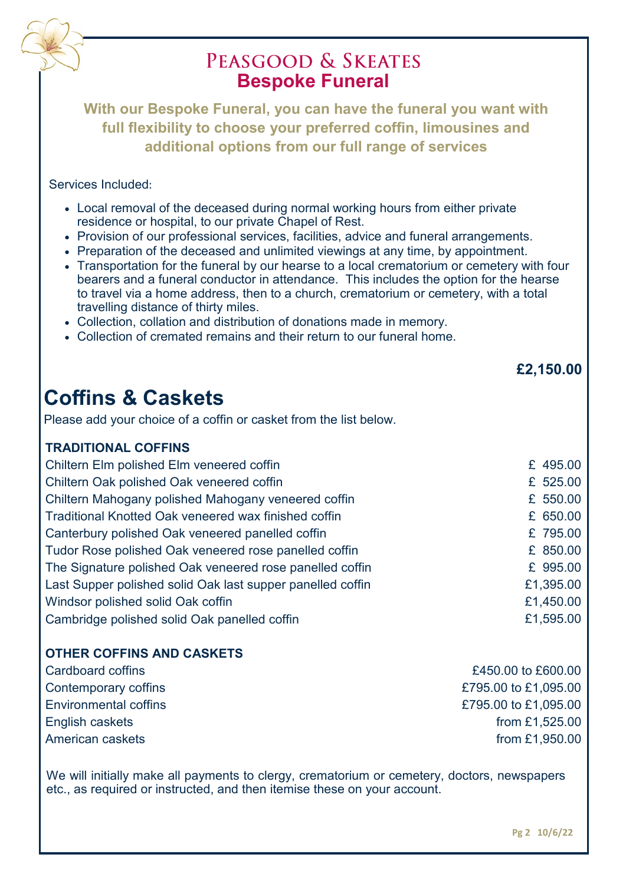

# PEASGOOD & SKEATES **Bespoke Funeral**

**With our Bespoke Funeral, you can have the funeral you want with full flexibility to choose your preferred coffin, limousines and additional options from our full range of services**

#### Services Included:

- Local removal of the deceased during normal working hours from either private residence or hospital, to our private Chapel of Rest.
- Provision of our professional services, facilities, advice and funeral arrangements.
- Preparation of the deceased and unlimited viewings at any time, by appointment.
- Transportation for the funeral by our hearse to a local crematorium or cemetery with four bearers and a funeral conductor in attendance. This includes the option for the hearse to travel via a home address, then to a church, crematorium or cemetery, with a total travelling distance of thirty miles.
- Collection, collation and distribution of donations made in memory.
- Collection of cremated remains and their return to our funeral home.

# **Coffins & Caskets**

Please add your choice of a coffin or casket from the list below.

### **TRADITIONAL COFFINS**

| Chiltern Elm polished Elm veneered coffin                  | £ 495.00  |
|------------------------------------------------------------|-----------|
| Chiltern Oak polished Oak veneered coffin                  | £ 525.00  |
| Chiltern Mahogany polished Mahogany veneered coffin        | £ 550.00  |
| Traditional Knotted Oak veneered wax finished coffin       | £ 650.00  |
| Canterbury polished Oak veneered panelled coffin           | £ 795.00  |
| Tudor Rose polished Oak veneered rose panelled coffin      | £ 850.00  |
| The Signature polished Oak veneered rose panelled coffin   | £ 995.00  |
| Last Supper polished solid Oak last supper panelled coffin | £1,395.00 |
| Windsor polished solid Oak coffin                          | £1,450.00 |
| Cambridge polished solid Oak panelled coffin               | £1,595.00 |

### **OTHER COFFINS AND CASKETS**

| Cardboard coffins     | £450.00 to £600.00   |
|-----------------------|----------------------|
| Contemporary coffins  | £795.00 to £1,095.00 |
| Environmental coffins | £795.00 to £1,095.00 |
| English caskets       | from £1,525.00       |
| American caskets      | from £1,950.00       |

We will initially make all payments to clergy, crematorium or cemetery, doctors, newspapers etc., as required or instructed, and then itemise these on your account.

 **£2,150.00**